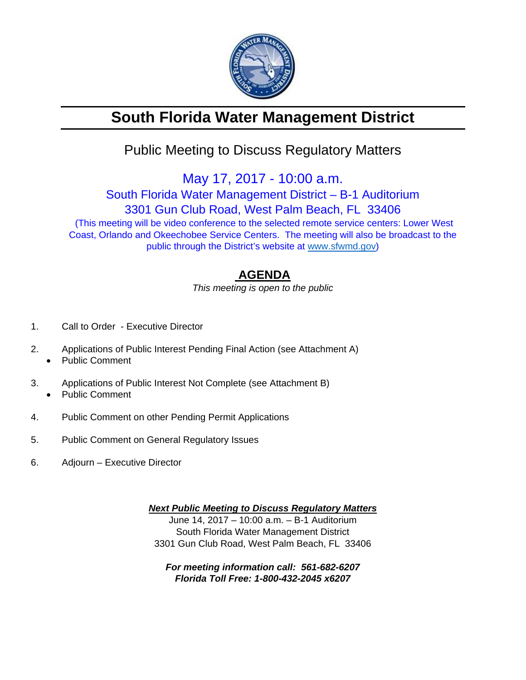

# **South Florida Water Management District**

## Public Meeting to Discuss Regulatory Matters

May 17, 2017 - 10:00 a.m.

South Florida Water Management District – B-1 Auditorium 3301 Gun Club Road, West Palm Beach, FL 33406 (This meeting will be video conference to the selected remote service centers: Lower West Coast, Orlando and Okeechobee Service Centers. The meeting will also be broadcast to the public through the District's website at www.sfwmd.gov)

### **AGENDA**

*This meeting is open to the public* 

- 1. Call to Order Executive Director
- 2. Applications of Public Interest Pending Final Action (see Attachment A)
	- Public Comment
- 3. Applications of Public Interest Not Complete (see Attachment B) Public Comment
- 4. Public Comment on other Pending Permit Applications
- 5. Public Comment on General Regulatory Issues
- 6. Adjourn Executive Director

*Next Public Meeting to Discuss Regulatory Matters*  June 14, 2017 – 10:00 a.m. – B-1 Auditorium South Florida Water Management District 3301 Gun Club Road, West Palm Beach, FL 33406

*For meeting information call: 561-682-6207 Florida Toll Free: 1-800-432-2045 x6207*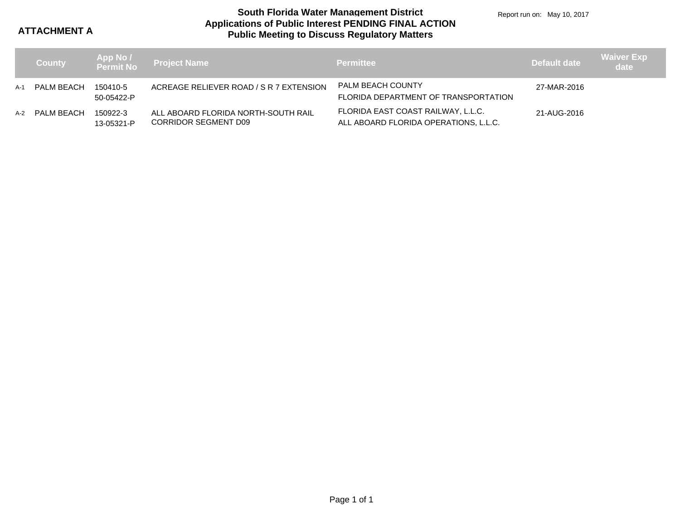**ATTACHMENT A**

### **Applications of Public Interest PENDING FINAL ACTION Public Meeting to Discuss Regulatory Matters South Florida Water Management District**

Report run on: May 10, 2017

|     | <b>County</b> |                        | App No /<br>Permit No  Project Name                                | <b>Permittee</b>                                                            | Default date | <b>Waiver Exp</b><br>date |
|-----|---------------|------------------------|--------------------------------------------------------------------|-----------------------------------------------------------------------------|--------------|---------------------------|
| A-1 | PALM BEACH    | 150410-5<br>50-05422-P | ACREAGE RELIEVER ROAD / S R 7 EXTENSION                            | PALM BEACH COUNTY<br>FLORIDA DEPARTMENT OF TRANSPORTATION                   | 27-MAR-2016  |                           |
| A-2 | PALM BEACH    | 150922-3<br>13-05321-P | ALL ABOARD FLORIDA NORTH-SOUTH RAIL<br><b>CORRIDOR SEGMENT D09</b> | FLORIDA EAST COAST RAILWAY, L.L.C.<br>ALL ABOARD FLORIDA OPERATIONS, L.L.C. | 21-AUG-2016  |                           |